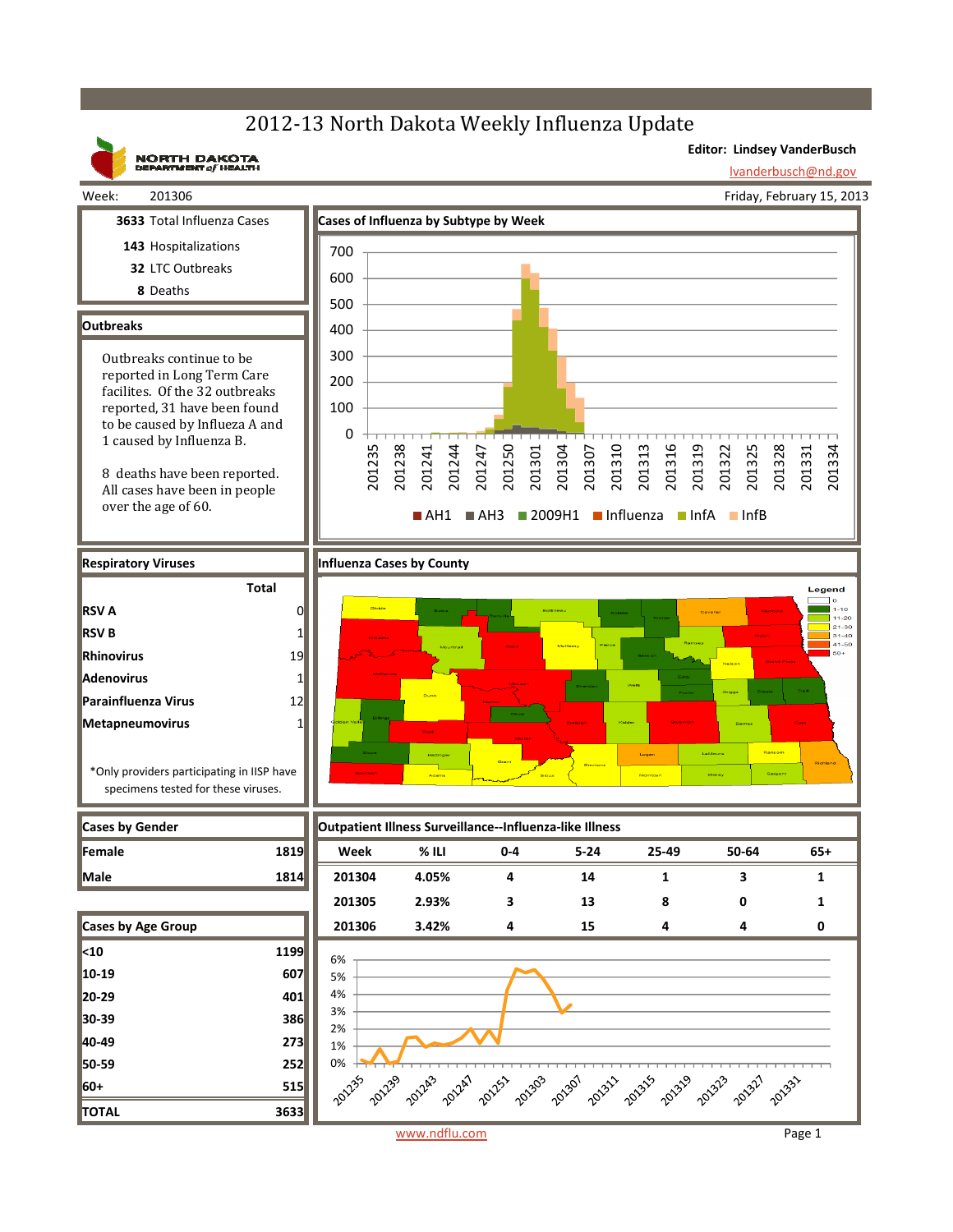## 2012-13 North Dakota Weekly Influenza Update



www.ndflu.com Page 1